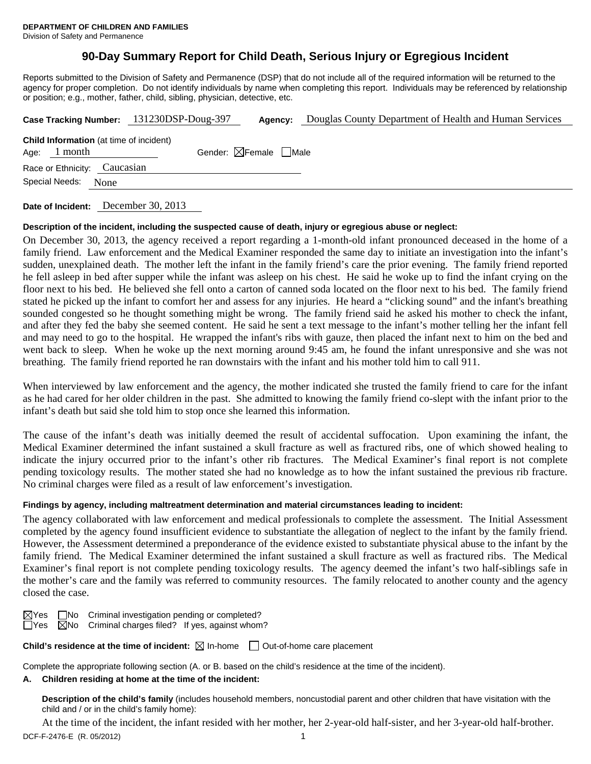# **90-Day Summary Report for Child Death, Serious Injury or Egregious Incident**

Reports submitted to the Division of Safety and Permanence (DSP) that do not include all of the required information will be returned to the agency for proper completion. Do not identify individuals by name when completing this report. Individuals may be referenced by relationship or position; e.g., mother, father, child, sibling, physician, detective, etc.

|                                                                  | Case Tracking Number: 131230DSP-Doug-397 | Agency:                                | Douglas County Department of Health and Human Services |  |  |  |
|------------------------------------------------------------------|------------------------------------------|----------------------------------------|--------------------------------------------------------|--|--|--|
| <b>Child Information</b> (at time of incident)<br>Age: $1$ month |                                          | Gender: $\boxtimes$ Female $\Box$ Male |                                                        |  |  |  |
| Race or Ethnicity: Caucasian                                     |                                          |                                        |                                                        |  |  |  |
| Special Needs: None                                              |                                          |                                        |                                                        |  |  |  |
|                                                                  |                                          |                                        |                                                        |  |  |  |

**Date of Incident:** December 30, 2013

## **Description of the incident, including the suspected cause of death, injury or egregious abuse or neglect:**

On December 30, 2013, the agency received a report regarding a 1-month-old infant pronounced deceased in the home of a family friend. Law enforcement and the Medical Examiner responded the same day to initiate an investigation into the infant's sudden, unexplained death. The mother left the infant in the family friend's care the prior evening. The family friend reported he fell asleep in bed after supper while the infant was asleep on his chest. He said he woke up to find the infant crying on the floor next to his bed. He believed she fell onto a carton of canned soda located on the floor next to his bed. The family friend stated he picked up the infant to comfort her and assess for any injuries. He heard a "clicking sound" and the infant's breathing sounded congested so he thought something might be wrong. The family friend said he asked his mother to check the infant, and after they fed the baby she seemed content. He said he sent a text message to the infant's mother telling her the infant fell and may need to go to the hospital. He wrapped the infant's ribs with gauze, then placed the infant next to him on the bed and went back to sleep. When he woke up the next morning around 9:45 am, he found the infant unresponsive and she was not breathing. The family friend reported he ran downstairs with the infant and his mother told him to call 911.

When interviewed by law enforcement and the agency, the mother indicated she trusted the family friend to care for the infant as he had cared for her older children in the past. She admitted to knowing the family friend co-slept with the infant prior to the infant's death but said she told him to stop once she learned this information.

The cause of the infant's death was initially deemed the result of accidental suffocation. Upon examining the infant, the Medical Examiner determined the infant sustained a skull fracture as well as fractured ribs, one of which showed healing to indicate the injury occurred prior to the infant's other rib fractures. The Medical Examiner's final report is not complete pending toxicology results. The mother stated she had no knowledge as to how the infant sustained the previous rib fracture. No criminal charges were filed as a result of law enforcement's investigation.

## **Findings by agency, including maltreatment determination and material circumstances leading to incident:**

The agency collaborated with law enforcement and medical professionals to complete the assessment. The Initial Assessment completed by the agency found insufficient evidence to substantiate the allegation of neglect to the infant by the family friend. However, the Assessment determined a preponderance of the evidence existed to substantiate physical abuse to the infant by the family friend. The Medical Examiner determined the infant sustained a skull fracture as well as fractured ribs. The Medical Examiner's final report is not complete pending toxicology results. The agency deemed the infant's two half-siblings safe in the mother's care and the family was referred to community resources. The family relocated to another county and the agency closed the case.

 $\boxtimes$ Yes  $\Box$ No Criminal investigation pending or completed?  $\overline{\Box}$ Yes  $\overline{\boxtimes}$ No Criminal charges filed? If yes, against whom?

**Child's residence at the time of incident:**  $\boxtimes$  In-home  $\Box$  Out-of-home care placement

Complete the appropriate following section (A. or B. based on the child's residence at the time of the incident).

## **A. Children residing at home at the time of the incident:**

**Description of the child's family** (includes household members, noncustodial parent and other children that have visitation with the child and / or in the child's family home):

DCF-F-2476-E (R. 05/2012) 1 At the time of the incident, the infant resided with her mother, her 2-year-old half-sister, and her 3-year-old half-brother.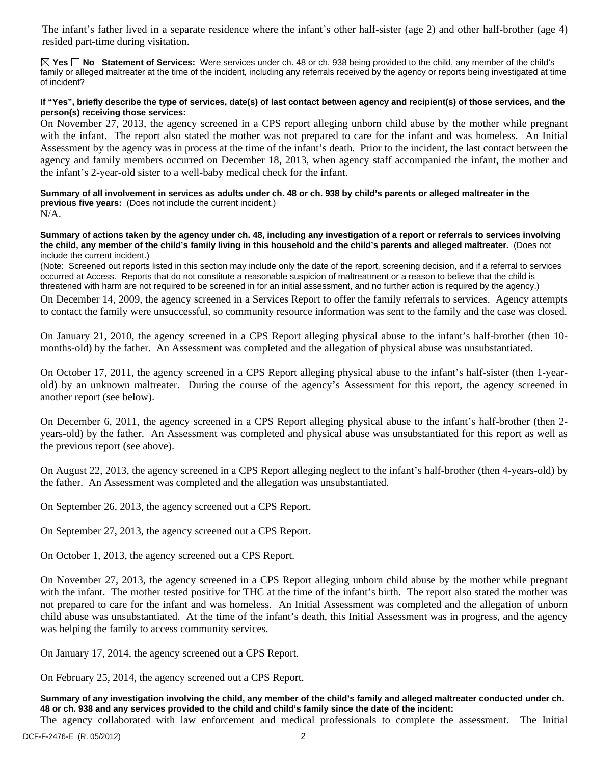The infant's father lived in a separate residence where the infant's other half-sister (age 2) and other half-brother (age 4) resided part-time during visitation.

**Yes No Statement of Services:** Were services under ch. 48 or ch. 938 being provided to the child, any member of the child's family or alleged maltreater at the time of the incident, including any referrals received by the agency or reports being investigated at time of incident?

## **If "Yes", briefly describe the type of services, date(s) of last contact between agency and recipient(s) of those services, and the person(s) receiving those services:**

On November 27, 2013, the agency screened in a CPS report alleging unborn child abuse by the mother while pregnant with the infant. The report also stated the mother was not prepared to care for the infant and was homeless. An Initial Assessment by the agency was in process at the time of the infant's death. Prior to the incident, the last contact between the agency and family members occurred on December 18, 2013, when agency staff accompanied the infant, the mother and the infant's 2-year-old sister to a well-baby medical check for the infant.

**Summary of all involvement in services as adults under ch. 48 or ch. 938 by child's parents or alleged maltreater in the previous five years:** (Does not include the current incident.)

 $N/A$ .

**Summary of actions taken by the agency under ch. 48, including any investigation of a report or referrals to services involving the child, any member of the child's family living in this household and the child's parents and alleged maltreater.** (Does not include the current incident.)

(Note: Screened out reports listed in this section may include only the date of the report, screening decision, and if a referral to services occurred at Access. Reports that do not constitute a reasonable suspicion of maltreatment or a reason to believe that the child is threatened with harm are not required to be screened in for an initial assessment, and no further action is required by the agency.)

On December 14, 2009, the agency screened in a Services Report to offer the family referrals to services. Agency attempts to contact the family were unsuccessful, so community resource information was sent to the family and the case was closed.

On January 21, 2010, the agency screened in a CPS Report alleging physical abuse to the infant's half-brother (then 10 months-old) by the father. An Assessment was completed and the allegation of physical abuse was unsubstantiated.

On October 17, 2011, the agency screened in a CPS Report alleging physical abuse to the infant's half-sister (then 1-yearold) by an unknown maltreater. During the course of the agency's Assessment for this report, the agency screened in another report (see below).

On December 6, 2011, the agency screened in a CPS Report alleging physical abuse to the infant's half-brother (then 2 years-old) by the father. An Assessment was completed and physical abuse was unsubstantiated for this report as well as the previous report (see above).

On August 22, 2013, the agency screened in a CPS Report alleging neglect to the infant's half-brother (then 4-years-old) by the father. An Assessment was completed and the allegation was unsubstantiated.

On September 26, 2013, the agency screened out a CPS Report.

On September 27, 2013, the agency screened out a CPS Report.

On October 1, 2013, the agency screened out a CPS Report.

On November 27, 2013, the agency screened in a CPS Report alleging unborn child abuse by the mother while pregnant with the infant. The mother tested positive for THC at the time of the infant's birth. The report also stated the mother was not prepared to care for the infant and was homeless. An Initial Assessment was completed and the allegation of unborn child abuse was unsubstantiated. At the time of the infant's death, this Initial Assessment was in progress, and the agency was helping the family to access community services.

On January 17, 2014, the agency screened out a CPS Report.

On February 25, 2014, the agency screened out a CPS Report.

**Summary of any investigation involving the child, any member of the child's family and alleged maltreater conducted under ch. 48 or ch. 938 and any services provided to the child and child's family since the date of the incident:** 

The agency collaborated with law enforcement and medical professionals to complete the assessment. The Initial